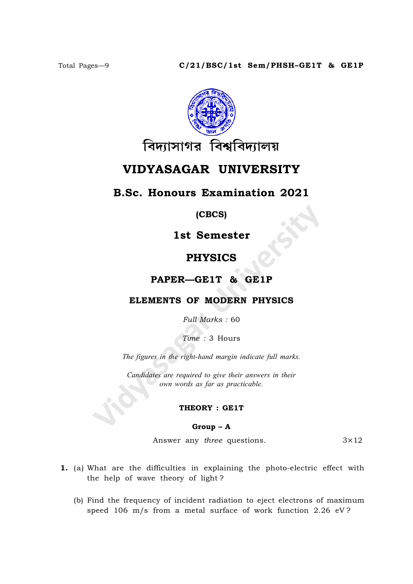

# VIDYASAGAR UNIVERSITY

## B.Sc. Honours Examination 2021

(CBCS)

1st Semester

## PHYSICS

### PAPER—GE1T & GE1P

### ELEMENTS OF MODERN PHYSICS

Full Marks : 60

Time : 3 Hours

The figures in the right-hand margin indicate full marks.

Candidates are required to give their answers in their own words as far as practicable.

#### THEORY : GE1T

#### Group – A

Answer any *three* questions.  $3 \times 12$ 

- 1. (a) What are the difficulties in explaining the photo-electric effect with the help of wave theory of light ?
	- (b) Find the frequency of incident radiation to eject electrons of maximum speed 106 m/s from a metal surface of work function 2.26 eV ?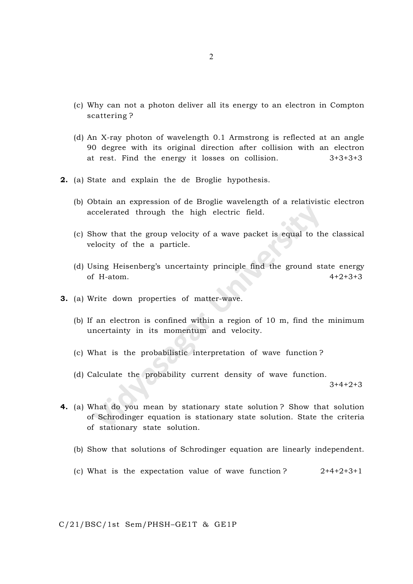- (c) Why can not a photon deliver all its energy to an electron in Compton scattering ?
- (d) An X-ray photon of wavelength 0.1 Armstrong is reflected at an angle 90 degree with its original direction after collision with an electron at rest. Find the energy it losses on collision. 3+3+3+3
- 2. (a) State and explain the de Broglie hypothesis.
	- (b) Obtain an expression of de Broglie wavelength of a relativistic electron accelerated through the high electric field.
	- (c) Show that the group velocity of a wave packet is equal to the classical velocity of the a particle.
	- (d) Using Heisenberg's uncertainty principle find the ground state energy of H-atom.  $4+2+3+3$
- 3. (a) Write down properties of matter-wave.
	- (b) If an electron is confined within a region of 10 m, find the minimum uncertainty in its momentum and velocity.
	- (c) What is the probabilistic interpretation of wave function ?
	- (d) Calculate the probability current density of wave function.

 $3+4+2+3$ 

- 4. (a) What do you mean by stationary state solution ? Show that solution of Schrodinger equation is stationary state solution. State the criteria of stationary state solution.
	- (b) Show that solutions of Schrodinger equation are linearly independent.
	- (c) What is the expectation value of wave function ?  $2+4+2+3+1$

C/21/BSC/1st Sem/PHSH–GE1T & GE1P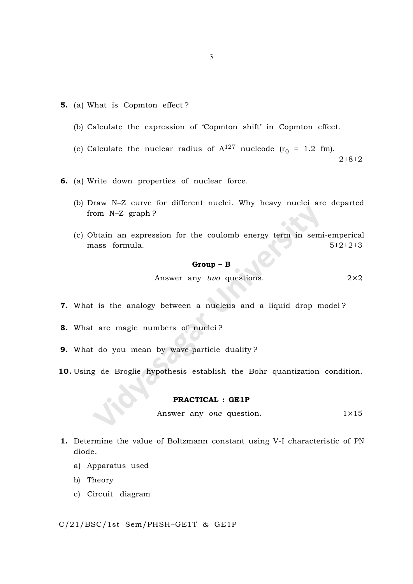- 5. (a) What is Copmton effect ?
	- (b) Calculate the expression of 'Copmton shift' in Copmton effect.
	- (c) Calculate the nuclear radius of  $A^{127}$  nucleode ( $r_0 = 1.2$  fm).

2+8+2

- 6. (a) Write down properties of nuclear force.
	- (b) Draw N–Z curve for different nuclei. Why heavy nuclei are departed from N–Z graph ?
	- (c) Obtain an expression for the coulomb energy term in semi-emperical mass formula. 5+2+2+3

#### Group – B

Answer any two questions.  $2 \times 2$ 

- 7. What is the analogy between a nucleus and a liquid drop model ?
- 8. What are magic numbers of nuclei ?
- 9. What do you mean by wave-particle duality ?
- 10. Using de Broglie hypothesis establish the Bohr quantization condition.

#### PRACTICAL : GE1P

Answer any one question.  $1 \times 15$ 

- 1. Determine the value of Boltzmann constant using V-I characteristic of PN diode.
	- a) Apparatus used
	- b) Theory
	- c) Circuit diagram

C/21/BSC/1st Sem/PHSH–GE1T & GE1P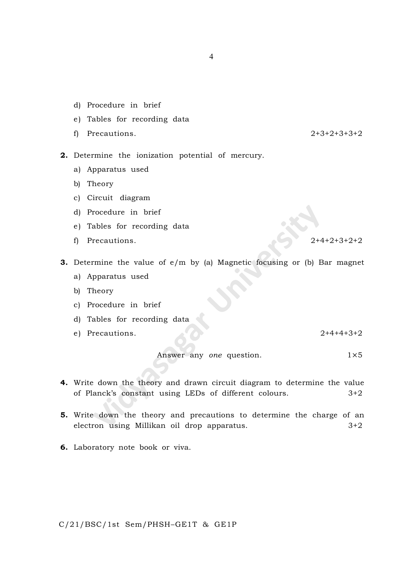- d) Procedure in brief
- e) Tables for recording data
- f) Precautions.  $2+3+2+3+3+2$
- 2. Determine the ionization potential of mercury.
	- a) Apparatus used
	- b) Theory
	- c) Circuit diagram
	- d) Procedure in brief
	- e) Tables for recording data
	- f) Precautions.  $2+4+2+3+2+2$

#### 3. Determine the value of e/m by (a) Magnetic focusing or (b) Bar magnet

- a) Apparatus used
- b) Theory
- c) Procedure in brief
- d) Tables for recording data
- e) Precautions. 2+4+4+3+2

Answer any one question. 1×5

- 4. Write down the theory and drawn circuit diagram to determine the value of Planck's constant using LEDs of different colours. 3+2
- 5. Write down the theory and precautions to determine the charge of an electron using Millikan oil drop apparatus. 3+2
- 6. Laboratory note book or viva.

C/21/BSC/1st Sem/PHSH–GE1T & GE1P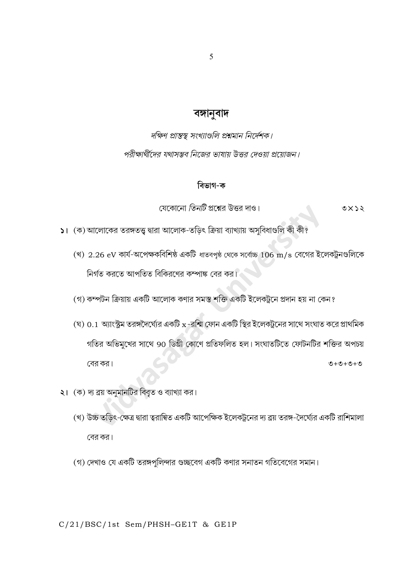# বঙ্গানুবাদ

দক্ষিণ প্রান্তস্থ সংখ্যাগুলি প্রশ্নমান নির্দেশক। পরীক্ষার্থীদের যথাসম্ভব নিজের ভাষায় উত্তর দেওয়া প্রয়োজন।

#### বিভাগ-ক

যেকোনো *তিনটি* প্রশ্নের উত্তর দাও।

 $0 \times 22$ 

- ১। (ক) আলোকের তরঙ্গতত্ত্ব দ্বারা আলোক-তড়িৎ ক্রিয়া ব্যাখ্যায় অসুবিধাগুলি কী কী?
	- (খ) 2.26 eV কার্য-অপেক্ষকবিশিষ্ঠ একটি ধাতবপৃষ্ঠ থেকে সর্বোচ্চ 106 m/s বেগের ইলেকট্রনগুলিকে নির্গত করতে আপতিত বিকিরণের কম্পাঙ্ক বের কর।
	- (গ) কম্পটন ক্রিয়ায় একটি আলোক কণার সমস্ত শক্তি একটি ইলেকট্রনে প্রদান হয় না কেন?
	- (ঘ)  $0.1$  অ্যাংস্ট্রম তরঙ্গদৈর্ঘ্যের একটি  $\mathrm{x}$  -রশ্মি ফোন একটি স্থির ইলেকট্রনের সাথে সংঘাত করে প্রাথমিক গতির অভিমুখের সাথে 90 ডিগ্রী কোণে প্রতিফলিত হল। সংঘাতটিতে ফোটনটির শক্তির অপচয় বের কর।  $\mathcal{O} + \mathcal{O} + \mathcal{O} + \mathcal{O}$
- ২। (ক) দ্য ব্রয় অনুমানটির বিবৃত ও ব্যাখ্যা কর।
	- (খ) উচ্চ তড়িৎ-ক্ষেত্র দ্বারা ত্বরান্বিত একটি আপেক্ষিক ইলেকট্রনের দ্য ব্রয় তরঙ্গ-দৈর্ঘ্যের একটি রাশিমালা বের কর।
	- (গ) দেখাও যে একটি তরঙ্গপুলিন্দার গুচ্ছবেগ একটি কণার সনাতন গতিবেগের সমান।

C/21/BSC/1st Sem/PHSH-GE1T & GE1P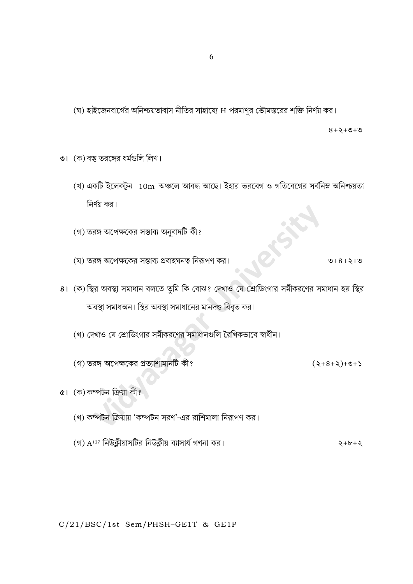6

(ঘ) হাইজেনবার্গের অনিশ্চয়তাবাস নীতির সাহায্যে H পরমাণুর ভৌমস্তরের শক্তি নির্ণয় কর।

 $8 + 2 + 0 + 0$ 

- ৩। (ক) বস্তু তরঙ্গের ধর্মগুলি লিখ।
	- (খ) একটি ইলেকট্রন 10m অঞ্চলে আবদ্ধ আছে। ইহার ভরবেগ ও গতিবেগের সর্বনিম্ন অনিশ্চয়তা নির্ণয় কর।
	- (গ) তরঙ্গ অপেক্ষকের সম্ভাব্য অনুবাদটি কী?
	- (ঘ) তরঙ্গ অপেক্ষকের সম্ভাব্য প্রবাহঘনত্ব নিরূপণ কর।

 $0+8+2+0$ 

- 8। (ক) স্থির অবস্থা সমাধান বলতে তুমি কি বোঝ? দেখাও যে শ্রোডিংগার সমীকরণের সমাধান হয় স্থির অবস্থা সমাধঅন। স্থির অবস্থা সমাধানের মানদণ্ড বিবৃত কর।
	- (খ) দেখাও যে শ্রোডিংগার সমীকরণের সমাধানগুলি রৈখিকভাবে স্বাধীন।
	- (গ) তরঙ্গ অপেক্ষকের প্রত্যাশামানটি কী?  $(2+8+2)+0+2$

 $\alpha$ ।  $($ ক) কম্পটন ক্ৰিয়া কী?

- (খ) কম্পটন ক্রিয়ায় 'কম্পটন সরণ'-এর রাশিমালা নিরূপণ কর।
- (গ) A<sup>127</sup> নিউক্লীয়াসটির নিউক্লীয় ব্যাসার্ধ গণনা কর।  $2 + b + 5$

C/21/BSC/1st Sem/PHSH-GE1T & GE1P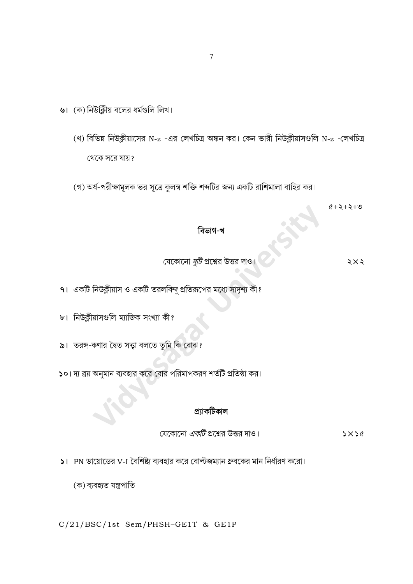$\overline{7}$ 

- ৬। (ক) নিউক্লীয় বলের ধর্মগুলি লিখ।
	- (খ) বিভিন্ন নিউক্লীয়াসের N-z -এর লেখচিত্র অঙ্কন কর। কেন ভারী নিউক্লীয়াসগুলি N-z -লেখচিত্র থেকে সরে যায়?
	- (গ) অর্ধ-পরীক্ষামূলক ভর সূত্রে কুলম্ব শক্তি শব্দটির জন্য একটি রাশিমালা বাহির কর।
	- - বিভাগ-খ

যেকোনো *দুটি* প্রশ্নের উত্তর দাও

- ৭। একটি নিউক্লীয়াস ও একটি তরলবিন্দু প্রতিরূপের মধ্যে সাদৃশ্য কী?
- ৮। নিউক্লীয়াসগুলি ম্যাজিক সংখ্যা কী?
- ৯। তরঙ্গ-কণার দ্বৈত সত্ত্বা বলতে তুমি কি বোঝ?
- ১০। দ্য ব্রয় অনুমান ব্যবহার করে বোর পরিমাপকরণ শর্তটি প্রতিষ্ঠা কর।

প্ৰ্যাকটিকাল

যেকোনো *একটি* প্রশ্নের উত্তর দাও।  $5x56$ 

- $\vert$  ) PN ডায়োডের V-I বৈশিষ্ট্য ব্যবহার করে বোল্টজম্যান ধ্রুবকের মান নির্ধারণ করো।
	- (ক) ব্যবহৃত যন্ত্ৰপাতি

C/21/BSC/1st Sem/PHSH-GE1T & GE1P

 $5 \times 5$ 

 $0+2+2+0$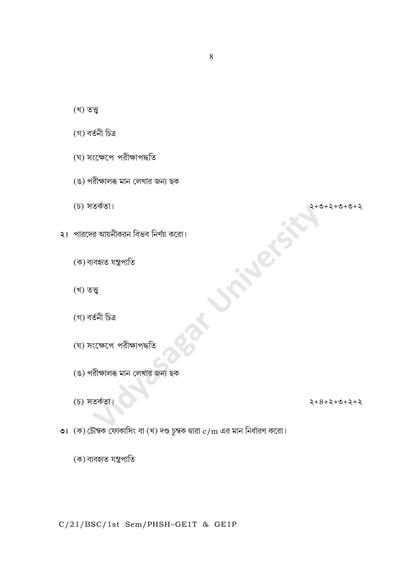C/21/BSC/1st Sem/PHSH-GE1T & GE1P

- (ক) ব্যবহৃত যন্ত্ৰপাতি
- **৩।** (ক) চৌম্বক ফোকাসিং বা (খ) দণ্ড চুম্বক দ্বারা  $c/m$  এর মান নির্ধারণ করো।
- (চ) সতর্কতা।

 $2+8+2+0+2+2$ 

5+6+6+6+6+

**PLACES** 

(ঘ) সংক্ষেপে পরীক্ষাপদ্ধতি

(ঙ) পরীক্ষালব্ধ মান লেখার জন্য ছক

- (গ) বৰ্তনী চিত্ৰ
- (খ) তত্ত্ব

(ক) ব্যবহৃত যন্ত্রপাতি

- $\lambda$ । পারদের আয়নীকরন বিভব নির্ণয় করো।
- (চ) সতর্কতা।
- (ঙ) পরীক্ষালব্ধ মান লেখার জন্য ছক
- (ঘ) সংক্ষেপে পরীক্ষাপদ্ধতি
- (গ) বৰ্তনী চিত্ৰ
- 
- (খ) তত্ত্ব